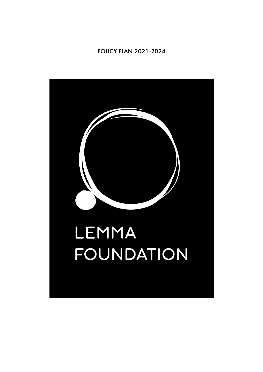POLICY PLAN 2021-2024

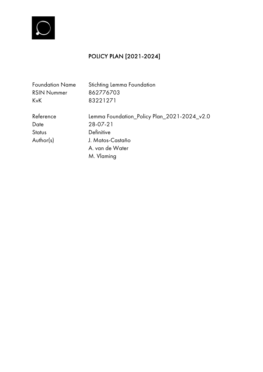

# POLICY PLAN [2021-2024]

| Stichting Lemma Foundation<br><b>Foundation Name</b> |                                             |  |  |  |  |  |  |
|------------------------------------------------------|---------------------------------------------|--|--|--|--|--|--|
| <b>RSIN Nummer</b>                                   | 862776703                                   |  |  |  |  |  |  |
| KvK                                                  | 83221271                                    |  |  |  |  |  |  |
| Reference                                            | Lemma Foundation_Policy Plan_2021-2024_v2.0 |  |  |  |  |  |  |
| Date                                                 | 28-07-21                                    |  |  |  |  |  |  |
| Status                                               | Definitive                                  |  |  |  |  |  |  |
| Author(s)                                            | J. Matos-Castaño                            |  |  |  |  |  |  |
|                                                      | A. van de Water                             |  |  |  |  |  |  |
|                                                      | M. Vlaming                                  |  |  |  |  |  |  |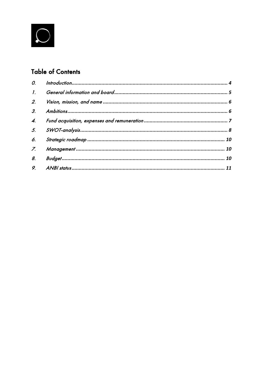

# **Table of Contents**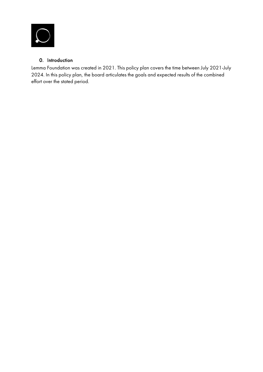

# 0. Introduction

Lemma Foundation was created in 2021. This policy plan covers the time between July 2021-July 2024. In this policy plan, the board articulates the goals and expected results of the combined effort over the stated period.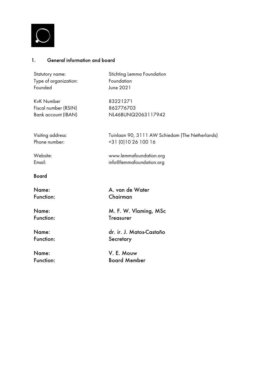

# 1. General information and board

| Statutory name:       | Stichting Lemma Foundation                      |  |  |  |  |  |  |  |
|-----------------------|-------------------------------------------------|--|--|--|--|--|--|--|
| Type of organization: | Foundation                                      |  |  |  |  |  |  |  |
| Founded               | June 2021                                       |  |  |  |  |  |  |  |
| KvK Number            | 83221271                                        |  |  |  |  |  |  |  |
| Fiscal number (RSIN)  | 862776703                                       |  |  |  |  |  |  |  |
| Bank account (IBAN)   | NL46BUNQ2063117942                              |  |  |  |  |  |  |  |
| Visiting address:     | Tuinlaan 90, 3111 AW Schiedam (The Netherlands) |  |  |  |  |  |  |  |
| Phone number:         | +31 (0)10 26 100 16                             |  |  |  |  |  |  |  |
| Website:              | www.lemmafoundation.org                         |  |  |  |  |  |  |  |
| Email:                | info@lemmafoundation.org                        |  |  |  |  |  |  |  |
| <b>Board</b>          |                                                 |  |  |  |  |  |  |  |
| Name:                 | A. van de Water                                 |  |  |  |  |  |  |  |
| <b>Function:</b>      | Chairman                                        |  |  |  |  |  |  |  |
| Name:                 | M. F. W. Vlaming, MSc                           |  |  |  |  |  |  |  |
| Function:             | <b>Treasurer</b>                                |  |  |  |  |  |  |  |
| Name:                 | dr. ir. J. Matos-Castaño                        |  |  |  |  |  |  |  |
| Function:             | Secretary                                       |  |  |  |  |  |  |  |
| Name:                 | V. E. Mouw                                      |  |  |  |  |  |  |  |
| Function:             | <b>Board Member</b>                             |  |  |  |  |  |  |  |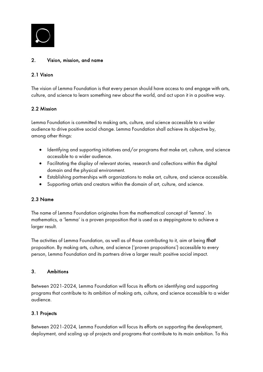

## 2. Vision, mission, and name

### 2.1 Vision

The vision of Lemma Foundation is that every person should have access to and engage with arts, culture, and science to learn something new about the world, and act upon it in a positive way.

# 2.2 Mission

Lemma Foundation is committed to making arts, culture, and science accessible to a wider audience to drive positive social change. Lemma Foundation shall achieve its objective by, among other things:

- Identifying and supporting initiatives and/or programs that make art, culture, and science accessible to a wider audience.
- Facilitating the display of relevant stories, research and collections within the digital domain and the physical environment.
- Establishing partnerships with organizations to make art, culture, and science accessible.
- Supporting artists and creators within the domain of art, culture, and science.

## 2.3 Name

The name of Lemma Foundation originates from the mathematical concept of 'lemma'. In mathematics, a 'lemma' is a proven proposition that is used as a steppingstone to achieve a larger result.

The activities of Lemma Foundation, as well as of those contributing to it, aim at being *that* proposition. By making arts, culture, and science ('proven propositions') accessible to every person, Lemma Foundation and its partners drive a larger result: positive social impact.

#### 3. Ambitions

Between 2021-2024, Lemma Foundation will focus its efforts on identifying and supporting programs that contribute to its ambition of making arts, culture, and science accessible to a wider audience.

## 3.1 Projects

Between 2021-2024, Lemma Foundation will focus its efforts on supporting the development, deployment, and scaling up of projects and programs that contribute to its main ambition. To this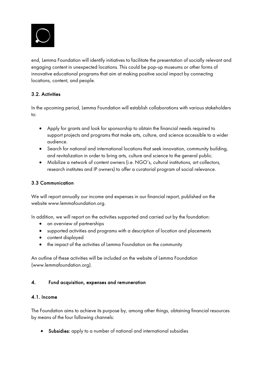

end, Lemma Foundation will identify initiatives to facilitate the presentation of socially relevant and engaging content in unexpected locations. This could be pop-up museums or other forms of innovative educational programs that aim at making positive social impact by connecting locations, content, and people.

# 3.2. Activities

In the upcoming period, Lemma Foundation will establish collaborations with various stakeholders to:

- Apply for grants and look for sponsorship to obtain the financial needs required to support projects and programs that make arts, culture, and science accessible to a wider audience.
- Search for national and international locations that seek innovation, community building, and revitalization in order to bring arts, culture and science to the general public.
- Mobilize a network of content owners (i.e. NGO's, cultural institutions, art collectors, research institutes and IP owners) to offer a curatorial program of social relevance.

# 3.3 Communication

We will report annually our income and expenses in our financial report, published on the website www.lemmafoundation.org.

In addition, we will report on the activities supported and carried out by the foundation:

- an overview of partnerships
- supported activities and programs with a description of location and placements
- content displayed
- the impact of the activities of Lemma Foundation on the community

An outline of these activities will be included on the website of Lemma Foundation (www.lemmafoundation.org).

# 4. Fund acquisition, expenses and remuneration

## 4.1. Income

The Foundation aims to achieve its purpose by, among other things, obtaining financial resources by means of the four following channels:

Subsidies: apply to a number of national and international subsidies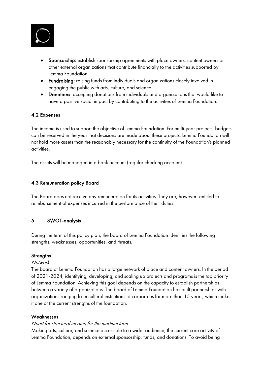

- Sponsorship: establish sponsorship agreements with place owners, content owners or other external organizations that contribute financially to the activities supported by Lemma Foundation.
- Fundraising: raising funds from individuals and organizations closely involved in engaging the public with arts, culture, and science.
- Donations: accepting donations from individuals and organizations that would like to have a positive social impact by contributing to the activities of Lemma Foundation.

## 4.2 Expenses

The income is used to support the objective of Lemma Foundation. For multi-year projects, budgets can be reserved in the year that decisions are made about these projects. Lemma Foundation will not hold more assets than the reasonably necessary for the continuity of the Foundation's planned activities.

The assets will be managed in a bank account (regular checking account).

#### 4.3 Remuneration policy Board

The Board does not receive any remuneration for its activities. They are, however, entitled to reimbursement of expenses incurred in the performance of their duties.

## 5. SWOT-analysis

During the term of this policy plan, the board of Lemma Foundation identifies the following strengths, weaknesses, opportunities, and threats.

#### **Strengths**

#### **Network**

The board of Lemma Foundation has a large network of place and content owners. In the period of 2021-2024, identifying, developing, and scaling up projects and programs is the top priority of Lemma Foundation. Achieving this goal depends on the capacity to establish partnerships between a variety of organizations. The board of Lemma Foundation has built partnerships with organizations ranging from cultural institutions to corporates for more than 15 years, which makes it one of the current strengths of the foundation.

#### Weaknesses

#### Need for structural income for the medium term

Making arts, culture, and science accessible to a wider audience, the current core activity of Lemma Foundation, depends on external sponsorship, funds, and donations. To avoid being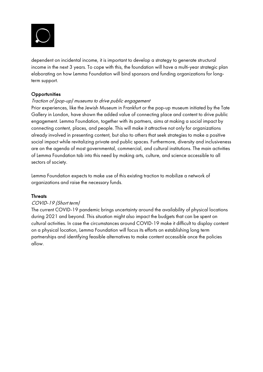

dependent on incidental income, it is important to develop a strategy to generate structural income in the next 3 years. To cope with this, the foundation will have a multi-year strategic plan elaborating on how Lemma Foundation will bind sponsors and funding organizations for longterm support.

## **Opportunities**

#### Traction of (pop-up) museums to drive public engagement

Prior experiences, like the Jewish Museum in Frankfurt or the pop-up museum initiated by the Tate Gallery in London, have shown the added value of connecting place and content to drive public engagement. Lemma Foundation, together with its partners, aims at making a social impact by connecting content, places, and people. This will make it attractive not only for organizations already involved in presenting content, but also to others that seek strategies to make a positive social impact while revitalizing private and public spaces. Furthermore, diversity and inclusiveness are on the agenda of most governmental, commercial, and cultural institutions. The main activities of Lemma Foundation tab into this need by making arts, culture, and science accessible to all sectors of society.

Lemma Foundation expects to make use of this existing traction to mobilize a network of organizations and raise the necessary funds.

#### **Threats**

#### COVID-19 (Short term)

The current COVID-19 pandemic brings uncertainty around the availability of physical locations during 2021 and beyond. This situation might also impact the budgets that can be spent on cultural activities. In case the circumstances around COVID-19 make it difficult to display content on a physical location, Lemma Foundation will focus its efforts on establishing long term partnerships and identifying feasible alternatives to make content accessible once the policies allow.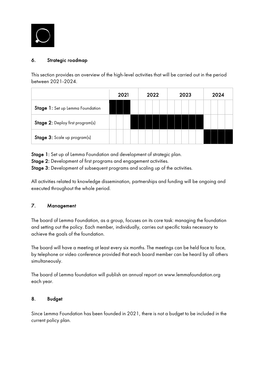

# 6. Strategic roadmap

This section provides an overview of the high-level activities that will be carried out in the period between 2021-2024.

|                                         | 2021 |  | 2022 |  |  |  | 2023 |  |  |  |  | 2024 |  |  |  |  |
|-----------------------------------------|------|--|------|--|--|--|------|--|--|--|--|------|--|--|--|--|
| Stage 1: Set up Lemma Foundation        |      |  |      |  |  |  |      |  |  |  |  |      |  |  |  |  |
| <b>Stage 2:</b> Deploy first program(s) |      |  |      |  |  |  |      |  |  |  |  |      |  |  |  |  |
| Stage 3: Scale up program(s)            |      |  |      |  |  |  |      |  |  |  |  |      |  |  |  |  |

Stage 1: Set up of Lemma Foundation and development of strategic plan.

Stage 2: Development of first programs and engagement activities.

Stage 3: Development of subsequent programs and scaling up of the activities.

All activities related to knowledge dissemination, partnerships and funding will be ongoing and executed throughout the whole period.

## 7. Management

The board of Lemma Foundation, as a group, focuses on its core task: managing the foundation and setting out the policy. Each member, individually, carries out specific tasks necessary to achieve the goals of the foundation.

The board will have a meeting at least every six months. The meetings can be held face to face, by telephone or video conference provided that each board member can be heard by all others simultaneously.

The board of Lemma foundation will publish an annual report on www.lemmafoundation.org each year.

## 8. Budget

Since Lemma Foundation has been founded in 2021, there is not a budget to be included in the current policy plan.